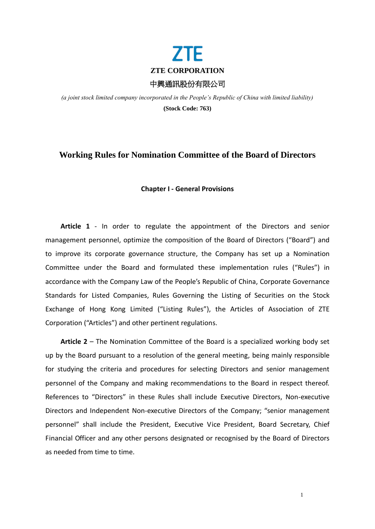

*(a joint stock limited company incorporated in the People's Republic of China with limited liability)* **(Stock Code: 763)**

# **Working Rules for Nomination Committee of the Board of Directors**

### **Chapter I - General Provisions**

**Article 1** - In order to regulate the appointment of the Directors and senior management personnel, optimize the composition of the Board of Directors ("Board") and to improve its corporate governance structure, the Company has set up a Nomination Committee under the Board and formulated these implementation rules ("Rules") in accordance with the Company Law of the People's Republic of China, Corporate Governance Standards for Listed Companies, Rules Governing the Listing of Securities on the Stock Exchange of Hong Kong Limited ("Listing Rules"), the Articles of Association of ZTE Corporation ("Articles") and other pertinent regulations.

**Article 2** – The Nomination Committee of the Board is a specialized working body set up by the Board pursuant to a resolution of the general meeting, being mainly responsible for studying the criteria and procedures for selecting Directors and senior management personnel of the Company and making recommendations to the Board in respect thereof. References to "Directors" in these Rules shall include Executive Directors, Non-executive Directors and Independent Non-executive Directors of the Company; "senior management personnel" shall include the President, Executive Vice President, Board Secretary, Chief Financial Officer and any other persons designated or recognised by the Board of Directors as needed from time to time.

1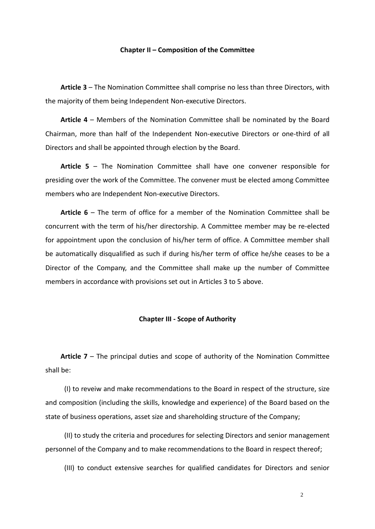### **Chapter II – Composition of the Committee**

**Article 3** – The Nomination Committee shall comprise no less than three Directors, with the majority of them being Independent Non-executive Directors.

**Article 4** – Members of the Nomination Committee shall be nominated by the Board Chairman, more than half of the Independent Non-executive Directors or one-third of all Directors and shall be appointed through election by the Board.

**Article 5** – The Nomination Committee shall have one convener responsible for presiding over the work of the Committee. The convener must be elected among Committee members who are Independent Non-executive Directors.

**Article 6** – The term of office for a member of the Nomination Committee shall be concurrent with the term of his/her directorship. A Committee member may be re-elected for appointment upon the conclusion of his/her term of office. A Committee member shall be automatically disqualified as such if during his/her term of office he/she ceases to be a Director of the Company, and the Committee shall make up the number of Committee members in accordance with provisions set out in Articles 3 to 5 above.

# **Chapter III - Scope of Authority**

**Article 7** – The principal duties and scope of authority of the Nomination Committee shall be:

(I) to reveiw and make recommendations to the Board in respect of the structure, size and composition (including the skills, knowledge and experience) of the Board based on the state of business operations, asset size and shareholding structure of the Company;

(II) to study the criteria and procedures for selecting Directors and senior management personnel of the Company and to make recommendations to the Board in respect thereof;

(III) to conduct extensive searches for qualified candidates for Directors and senior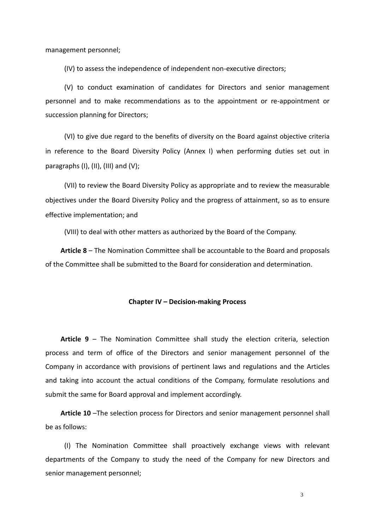management personnel;

(IV) to assess the independence of independent non-executive directors;

(V) to conduct examination of candidates for Directors and senior management personnel and to make recommendations as to the appointment or re-appointment or succession planning for Directors;

(VI) to give due regard to the benefits of diversity on the Board against objective criteria in reference to the Board Diversity Policy (Annex I) when performing duties set out in paragraphs  $(I)$ ,  $(II)$ ,  $(III)$  and  $(V)$ ;

(VII) to review the Board Diversity Policy as appropriate and to review the measurable objectives under the Board Diversity Policy and the progress of attainment, so as to ensure effective implementation; and

(VIII) to deal with other matters as authorized by the Board of the Company.

**Article 8** – The Nomination Committee shall be accountable to the Board and proposals of the Committee shall be submitted to the Board for consideration and determination.

## **Chapter IV – Decision-making Process**

**Article 9** – The Nomination Committee shall study the election criteria, selection process and term of office of the Directors and senior management personnel of the Company in accordance with provisions of pertinent laws and regulations and the Articles and taking into account the actual conditions of the Company, formulate resolutions and submit the same for Board approval and implement accordingly.

**Article 10** –The selection process for Directors and senior management personnel shall be as follows:

(I) The Nomination Committee shall proactively exchange views with relevant departments of the Company to study the need of the Company for new Directors and senior management personnel;

3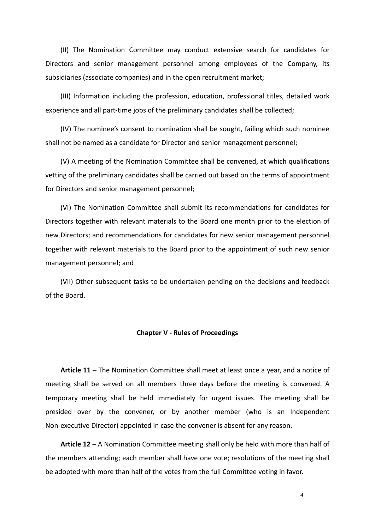(II) The Nomination Committee may conduct extensive search for candidates for Directors and senior management personnel among employees of the Company, its subsidiaries (associate companies) and in the open recruitment market;

(III) Information including the profession, education, professional titles, detailed work experience and all part-time jobs of the preliminary candidates shall be collected;

(IV) The nominee's consent to nomination shall be sought, failing which such nominee shall not be named as a candidate for Director and senior management personnel;

(V) A meeting of the Nomination Committee shall be convened, at which qualifications vetting of the preliminary candidates shall be carried out based on the terms of appointment for Directors and senior management personnel;

(VI) The Nomination Committee shall submit its recommendations for candidates for Directors together with relevant materials to the Board one month prior to the election of new Directors; and recommendations for candidates for new senior management personnel together with relevant materials to the Board prior to the appointment of such new senior management personnel; and

(VII) Other subsequent tasks to be undertaken pending on the decisions and feedback of the Board.

### **Chapter V - Rules of Proceedings**

**Article 11** – The Nomination Committee shall meet at least once a year, and a notice of meeting shall be served on all members three days before the meeting is convened. A temporary meeting shall be held immediately for urgent issues. The meeting shall be presided over by the convener, or by another member (who is an Independent Non-executive Director) appointed in case the convener is absent for any reason.

**Article 12** – A Nomination Committee meeting shall only be held with more than half of the members attending; each member shall have one vote; resolutions of the meeting shall be adopted with more than half of the votes from the full Committee voting in favor.

4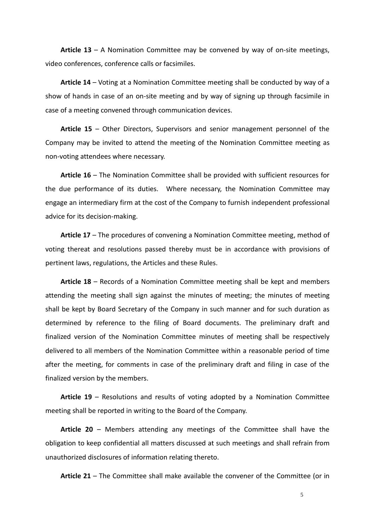**Article 13** – A Nomination Committee may be convened by way of on-site meetings, video conferences, conference calls or facsimiles.

**Article 14** – Voting at a Nomination Committee meeting shall be conducted by way of a show of hands in case of an on-site meeting and by way of signing up through facsimile in case of a meeting convened through communication devices.

**Article 15** – Other Directors, Supervisors and senior management personnel of the Company may be invited to attend the meeting of the Nomination Committee meeting as non-voting attendees where necessary.

**Article 16** – The Nomination Committee shall be provided with sufficient resources for the due performance of its duties. Where necessary, the Nomination Committee may engage an intermediary firm at the cost of the Company to furnish independent professional advice for its decision-making.

**Article 17** – The procedures of convening a Nomination Committee meeting, method of voting thereat and resolutions passed thereby must be in accordance with provisions of pertinent laws, regulations, the Articles and these Rules.

**Article 18** – Records of a Nomination Committee meeting shall be kept and members attending the meeting shall sign against the minutes of meeting; the minutes of meeting shall be kept by Board Secretary of the Company in such manner and for such duration as determined by reference to the filing of Board documents. The preliminary draft and finalized version of the Nomination Committee minutes of meeting shall be respectively delivered to all members of the Nomination Committee within a reasonable period of time after the meeting, for comments in case of the preliminary draft and filing in case of the finalized version by the members.

**Article 19** – Resolutions and results of voting adopted by a Nomination Committee meeting shall be reported in writing to the Board of the Company.

**Article 20** – Members attending any meetings of the Committee shall have the obligation to keep confidential all matters discussed at such meetings and shall refrain from unauthorized disclosures of information relating thereto.

**Article 21** – The Committee shall make available the convener of the Committee (or in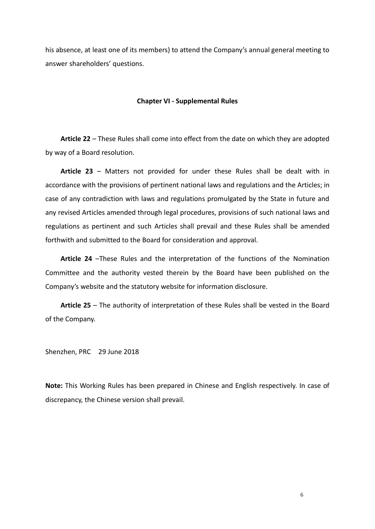his absence, at least one of its members) to attend the Company's annual general meeting to answer shareholders' questions.

### **Chapter VI - Supplemental Rules**

**Article 22** – These Rules shall come into effect from the date on which they are adopted by way of a Board resolution.

**Article 23** – Matters not provided for under these Rules shall be dealt with in accordance with the provisions of pertinent national laws and regulations and the Articles; in case of any contradiction with laws and regulations promulgated by the State in future and any revised Articles amended through legal procedures, provisions of such national laws and regulations as pertinent and such Articles shall prevail and these Rules shall be amended forthwith and submitted to the Board for consideration and approval.

**Article 24** –These Rules and the interpretation of the functions of the Nomination Committee and the authority vested therein by the Board have been published on the Company's website and the statutory website for information disclosure.

**Article 25** – The authority of interpretation of these Rules shall be vested in the Board of the Company.

Shenzhen, PRC 29 June 2018

**Note:** This Working Rules has been prepared in Chinese and English respectively. In case of discrepancy, the Chinese version shall prevail.